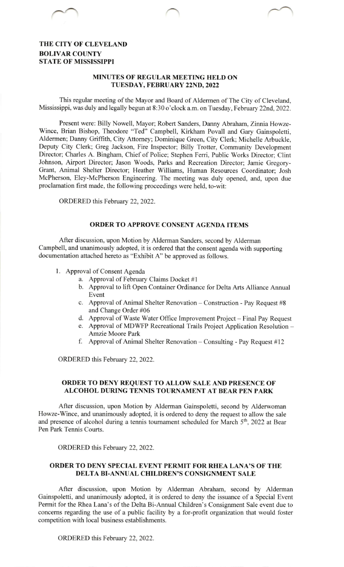# THE CITY OF CLEVELAND BOLIVAR COUNTY STATE OF MISSISSIPPI

#### MINUTES OF REGULAR MEETING HELD ON TUESDAY, FEBRUARY 22ND, 2022

This regular meeting of the Mayor and Board of Aldermen of The City of Cleveland, Mississippi, was duly and legally begun at 8:30 o'clock a.m. on Tuesday, February 22nd, 2022.

Present were: Billy Nowell, Mayor; Robert Sanders, Danny Abraham, Zinnia Howze-Wince, Brian Bishop, Theodore "Ted" Campbell, Kirkham Povall and Gary Gainspoletti, Aldermen; Danny Griffith, City Attomey; Dominique Green, City Clerk; Michelle Arbuckle, Deputy City Clerk; Greg Jackson, Fire Inspector; Billy Trotter, Community Development Director; Charles A. Bingham, Chief of Police; Stephen Feni, Public Works Director: Clint Johnson, Airport Director; Jason Woods, Parks and Recreation Director; Jamie Gregory-Grant, Animal Shelter Director; Heather Williams, Human Resources Coordinator; Josh McPherson, Eley-McPherson Engineering. The meeting was duly opened, and, upon due proclamation first made, the following proceedings were held, to-wit:

ORDERED this February 22, 2022.

#### ORDER TO APPROVE CONSENT AGENDA ITEMS

After discussion, upon Motion by Alderman Sanders, second by Alderman Campbell, and unanimously adopted, it is ordered that the consent agenda with supporting documentation attached hereto as "Exhibit A" be approved as follows.

- Approval of Consent Agenda
	- a. Approval of February Claims Docket #1
	- b. Approval to lift Open Container Ordinance for Delta Arts Alliance Annual Event
	- c. Approval of Animal Shelter Renovation Construction Pay Request #8 and Change Order #06
	- d. Approval of Waste Water Office Improvement Project Final Pay Request
	- e. Approval of MDWFP Recreational Trails Project Application Resolution -Amzie Moore Park
	- f. Approval of Animal Shelter Renovation Consulting Pay Request  $#12$

ORDERED this February 22,2022.

## ORDER TO DENY REQUEST TO ALLOW SALE AND PRESENCE OF ALCOHOL DURING TENNIS TOURNAMENT AT BEAR PEN PARK

After discussion, upon Motion by Alderman Gainspoletti, second by Alderwoman Howze-Wince, and unanimously adopted, it is ordered to deny the request to allow the sale and presence of alcohol during a tennis tournament scheduled for March 5<sup>th</sup>, 2022 at Bear Pen Park Tennis Courts.

ORDERED this February 22, 2022.

## ORDER TO DENY SPECIAL EVENT PERMIT FOR RHEA LANA'S OF THE DELTA BI-ANNUAL CHILDREN'S CONSIGNMENT SALE

After discussion, upon Motion by Alderman Abraham, second by Alderman Gainspoletti, and unanimously adopted, it is ordered to deny the issuance of a Special Event Permit for the Rhea Lana's of the Delta Bi-Annual Children's Consignment Sale event due to concems regarding the use of a public facility by a for-profit organization that would foster competition with local business establishments.

ORDERED this February 22,2022.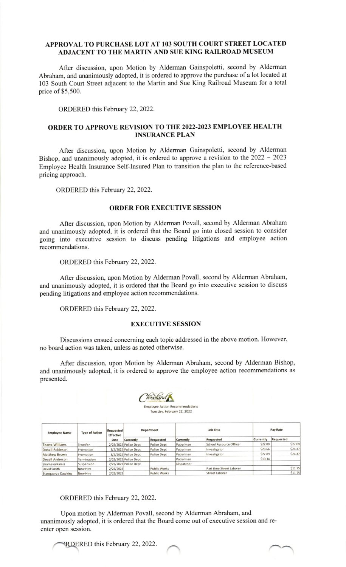### APPROVAL TO PURCHASE LOT AT IO3 SOUTH COURT STREET LOCATED ADJACENT TO THE MARTIN AND SUE KING RAILROAD MUSEUM

After discussion, upon Motion by Alderman Gainspoletti, second by Alderman Abraham, and unanimously adopted, it is ordered to approve the purchase of a lot located at 103 South Court Street adjacent to the Martin and Sue King Railroad Museum for a total price of \$5,500.

ORDERED this February 22,2022.

### ORDER TO APPROVE REVISION TO THE 2022-2023 EMPLOYEE HEALTH INSURANCE PLAN

After discussion, upon Motion by Alderman Gainspoletti, second by Alderman Bishop, and unanimously adopted, it is ordered to approve a revision to the  $2022 - 2023$ Employee Health Insurance Self-lnsured Plan to transition the plan to the reference-based pricing approach.

ORDERED this February 22, 2022.

#### ORDER FOR EXECUTIVE SESSION

After discussion, upon Motion by Alderman Povall, second by Alderman Abraham and unanimously adopted, it is ordered that the Board go into closed session to consider going into executive session to discuss pending litigations and employee action recommendations.

ORDERED this February 22, 2022.

After discussion, upon Motion by Alderman Povall, second by Alderman Abraham, and unanimously adopted, it is ordered that the Board go into executive session to discuss pending litigations and employee action recommendations.

ORDERED this February 22, 2022.

### EXECUTIVE SESSION

Discussions ensued conceming each topic addressed in the above motion. However, no board action was taken, unless as noted otherwise.

After discussion, upon Motion by Alderman Abraham, second by Alderman Bishop, and unanimously adopted, it is ordered to approve the employee action recommendations as presented.



lovee Action Recommendations Tuesday, February 22, 2022

| <b>Employee Name</b>   | <b>Type of Action</b> | Requested<br><b>Effective</b><br>Date | Department            |              | Job Title        |                          | Pay Rate  |           |
|------------------------|-----------------------|---------------------------------------|-----------------------|--------------|------------------|--------------------------|-----------|-----------|
|                        |                       |                                       | Currently             | Requested    | <b>Currently</b> | Requested                | Currently | Requested |
| <b>Tearra Williams</b> | Transfer              |                                       | 2/22/2022 Police Dept | Police Dept  | Patrolman        | School Resource Officer  | \$22.09   | \$22.09   |
| Donall Robinson        | Promotion             |                                       | 3/2/2022 Police Dept  | Police Dept  | Patrolman        | Investigator             | \$23.66   | \$24.47   |
| Matthew Brown          | Promotion             |                                       | 3/2/2022 Police Dept  | Police Dept  | Patrolman        | Investigator             | \$22.09   | \$24.47   |
| Devail Anderson        | Termination           |                                       | 2/22/2022 Police Dept |              | Patrolman        |                          | \$19.34   |           |
| Shameka Ramiz          | Suspension            |                                       | 2/22/2022 Police Dept |              | Dispatcher       |                          |           |           |
| David Smith            | New Hire              | 2/22/2022                             |                       | Public Works |                  | Part time Street Laborer |           | \$11.75   |
| Stanguanze Dawkins     | New Hire              | 2/22/2022                             |                       | Public Works |                  | <b>Street Laborer</b>    |           | \$11.75   |

ORDERED this February 22, 2022.

Upon motion by Alderman Povall, second by Alderman Abraham, and unanimously adopted, it is ordered that the Board come out of executive session and reenter open session.

**PRDERED** this February 22, 2022.